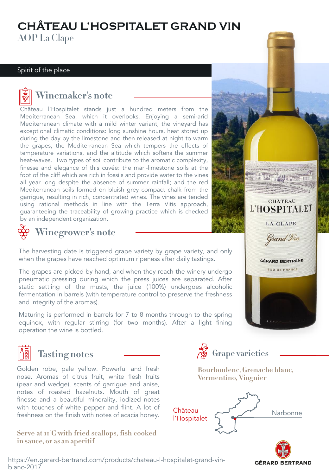## **CHÂTEAU L'HOSPITALET GRAND VIN** AOP La Clape

#### Spirit of the place



**Winemaker's note** Château l'Hospitalet stands just a hundred meters from the Mediterranean Sea, which it overlooks. Enjoying a semi-arid Mediterranean climate with a mild winter variant, the vineyard has exceptional climatic conditions: long sunshine hours, heat stored up during the day by the limestone and then released at night to warm the grapes, the Mediterranean Sea which tempers the effects of temperature variations, and the altitude which softens the summer heat-waves. Two types of soil contribute to the aromatic complexity, finesse and elegance of this cuvée: the marl-limestone soils at the foot of the cliff which are rich in fossils and provide water to the vines all year long despite the absence of summer rainfall; and the red Mediterranean soils formed on bluish grey compact chalk from the garrigue, resulting in rich, concentrated wines. The vines are tended using rational methods in line with the Terra Vitis approach, guaranteeing the traceability of growing practice which is checked by an independent organization.



**Winegrower's note**

The harvesting date is triggered grape variety by grape variety, and only when the grapes have reached optimum ripeness after daily tastings.

The grapes are picked by hand, and when they reach the winery undergo pneumatic pressing during which the press juices are separated. After static settling of the musts, the juice (100%) undergoes alcoholic fermentation in barrels (with temperature control to preserve the freshness and integrity of the aromas).

Maturing is performed in barrels for 7 to 8 months through to the spring equinox, with regular stirring (for two months). After a light fining operation the wine is bottled.



# **Tasting notes**

Golden robe, pale yellow. Powerful and fresh nose. Aromas of citrus fruit, white flesh fruits (pear and wedge), scents of garrigue and anise, notes of roasted hazelnuts. Mouth of great finesse and a beautiful minerality, iodized notes with touches of white pepper and flint. A lot of freshness on the finish with notes of acacia honey.

**Serve in sauce, or as an aperitif in sauce, or as an aperitif**



**Bourboulenc, Grenache blanc, Vermentino, Viognier**

CHÂTEAU L'HOSPITALET

**LA CLAPE** 

Grand Vin

**GÉRARD BERTRAND** SUD DE FRANCE

**GÉRARD BERTRAND** 



htt[ps://en.gerard-bertrand.com/products/chateau-l-hospitalet-grand-vin](https://www.gerard-bertrand.com/les-vins/art-de-vivre-languedoc)blanc-2017